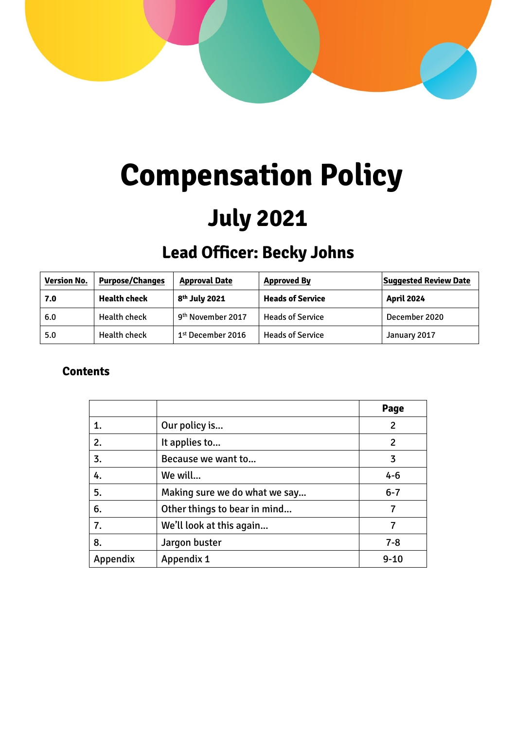

# **Compensation Policy**

## **July 2021**

### **Lead Officer: Becky Johns**

| <b>Version No.</b> | <b>Purpose/Changes</b> | <b>Approval Date</b>          | <b>Approved By</b>      | <b>Suggested Review Date</b> |
|--------------------|------------------------|-------------------------------|-------------------------|------------------------------|
| 7.0                | <b>Health check</b>    | 8 <sup>th</sup> July 2021     | <b>Heads of Service</b> | <b>April 2024</b>            |
| 6.0                | <b>Health check</b>    | 9 <sup>th</sup> November 2017 | <b>Heads of Service</b> | December 2020                |
| 5.0                | <b>Health check</b>    | $1st$ December 2016           | <b>Heads of Service</b> | January 2017                 |

#### **Contents**

|          |                               | Page     |
|----------|-------------------------------|----------|
| 1.       | Our policy is                 | 2        |
| 2.       | It applies to                 | 2        |
| 3.       | Because we want to            | 3        |
| 4.       | We will                       | $4 - 6$  |
| 5.       | Making sure we do what we say | $6 - 7$  |
| 6.       | Other things to bear in mind  |          |
| 7.       | We'll look at this again      | 7        |
| 8.       | Jargon buster                 | $7 - 8$  |
| Appendix | <b>Appendix 1</b>             | $9 - 10$ |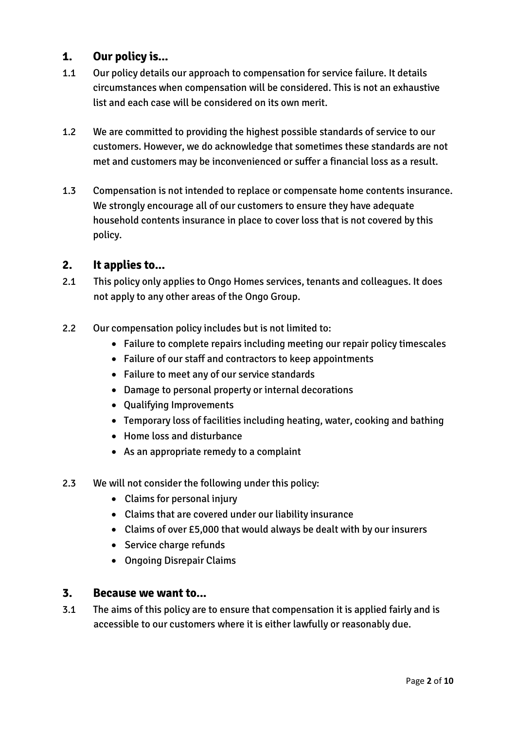#### **1. Our policy is...**

- 1.1 Our policy details our approach to compensation for service failure. It details circumstances when compensation will be considered. This is not an exhaustive list and each case will be considered on its own merit.
- 1.2 We are committed to providing the highest possible standards of service to our customers. However, we do acknowledge that sometimes these standards are not met and customers may be inconvenienced or suffer a financial loss as a result.
- 1.3 Compensation is not intended to replace or compensate home contents insurance. We strongly encourage all of our customers to ensure they have adequate household contents insurance in place to cover loss that is not covered by this policy.

#### **2. It applies to...**

- 2.1 This policy only applies to Ongo Homes services, tenants and colleagues. It does not apply to any other areas of the Ongo Group.
- 2.2 Our compensation policy includes but is not limited to:
	- Failure to complete repairs including meeting our repair policy timescales
	- Failure of our staff and contractors to keep appointments
	- Failure to meet any of our service standards
	- Damage to personal property or internal decorations
	- Qualifying Improvements
	- Temporary loss of facilities including heating, water, cooking and bathing
	- Home loss and disturbance
	- As an appropriate remedy to a complaint
- 2.3 We will not consider the following under this policy:
	- Claims for personal injury
	- Claims that are covered under our liability insurance
	- Claims of over £5,000 that would always be dealt with by our insurers
	- Service charge refunds
	- Ongoing Disrepair Claims

#### **3. Because we want to...**

3.1 The aims of this policy are to ensure that compensation it is applied fairly and is accessible to our customers where it is either lawfully or reasonably due.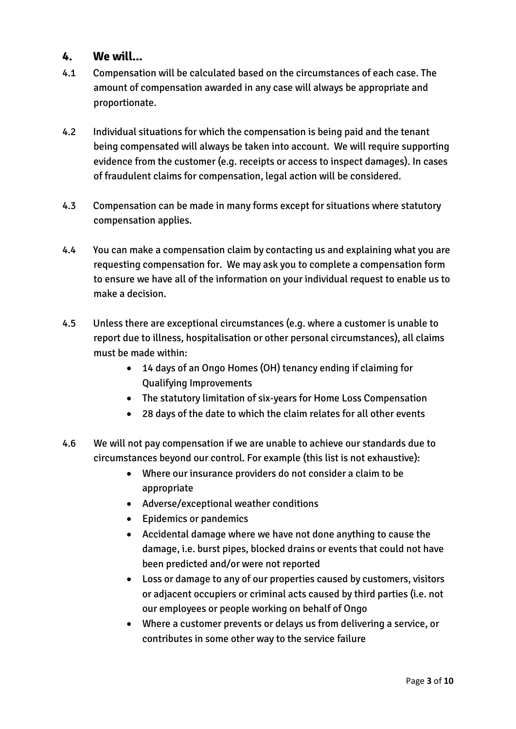#### **4. We will...**

- 4.1 Compensation will be calculated based on the circumstances of each case. The amount of compensation awarded in any case will always be appropriate and proportionate.
- 4.2 Individual situations for which the compensation is being paid and the tenant being compensated will always be taken into account. We will require supporting evidence from the customer (e.g. receipts or access to inspect damages). In cases of fraudulent claims for compensation, legal action will be considered.
- 4.3 Compensation can be made in many forms except for situations where statutory compensation applies.
- 4.4 You can make a compensation claim by contacting us and explaining what you are requesting compensation for. We may ask you to complete a compensation form to ensure we have all of the information on your individual request to enable us to make a decision.
- 4.5 Unless there are exceptional circumstances (e.g. where a customer is unable to report due to illness, hospitalisation or other personal circumstances), all claims must be made within:
	- 14 days of an Ongo Homes (OH) tenancy ending if claiming for Qualifying Improvements
	- The statutory limitation of six-years for Home Loss Compensation
	- 28 days of the date to which the claim relates for all other events
- 4.6 We will not pay compensation if we are unable to achieve our standards due to circumstances beyond our control. For example (this list is not exhaustive):
	- Where our insurance providers do not consider a claim to be appropriate
	- Adverse/exceptional weather conditions
	- Epidemics or pandemics
	- Accidental damage where we have not done anything to cause the damage, i.e. burst pipes, blocked drains or events that could not have been predicted and/or were not reported
	- Loss or damage to any of our properties caused by customers, visitors or adjacent occupiers or criminal acts caused by third parties (i.e. not our employees or people working on behalf of Ongo
	- Where a customer prevents or delays us from delivering a service, or contributes in some other way to the service failure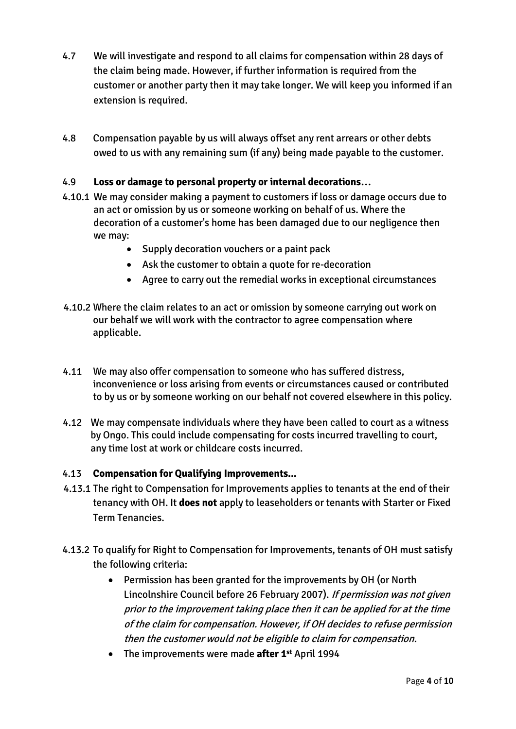- 4.7 We will investigate and respond to all claims for compensation within 28 days of the claim being made. However, if further information is required from the customer or another party then it may take longer. We will keep you informed if an extension is required.
- 4.8 Compensation payable by us will always offset any rent arrears or other debts owed to us with any remaining sum (if any) being made payable to the customer.

#### 4.9 **Loss or damage to personal property or internal decorations…**

- 4.10.1 We may consider making a payment to customers if loss or damage occurs due to an act or omission by us or someone working on behalf of us. Where the decoration of a customer's home has been damaged due to our negligence then we may:
	- Supply decoration vouchers or a paint pack
	- Ask the customer to obtain a quote for re-decoration
	- Agree to carry out the remedial works in exceptional circumstances
- 4.10.2 Where the claim relates to an act or omission by someone carrying out work on our behalf we will work with the contractor to agree compensation where applicable.
- 4.11 We may also offer compensation to someone who has suffered distress, inconvenience or loss arising from events or circumstances caused or contributed to by us or by someone working on our behalf not covered elsewhere in this policy.
- 4.12 We may compensate individuals where they have been called to court as a witness by Ongo. This could include compensating for costs incurred travelling to court, any time lost at work or childcare costs incurred.

#### 4.13 **Compensation for Qualifying Improvements...**

- 4.13.1 The right to Compensation for Improvements applies to tenants at the end of their tenancy with OH. It **does not** apply to leaseholders or tenants with Starter or Fixed Term Tenancies.
- 4.13.2 To qualify for Right to Compensation for Improvements, tenants of OH must satisfy the following criteria:
	- Permission has been granted for the improvements by OH (or North Lincolnshire Council before 26 February 2007). If permission was not given prior to the improvement taking place then it can be applied for at the time of the claim for compensation. However, if OH decides to refuse permission then the customer would not be eligible to claim for compensation.
	- The improvements were made **after 1st** April 1994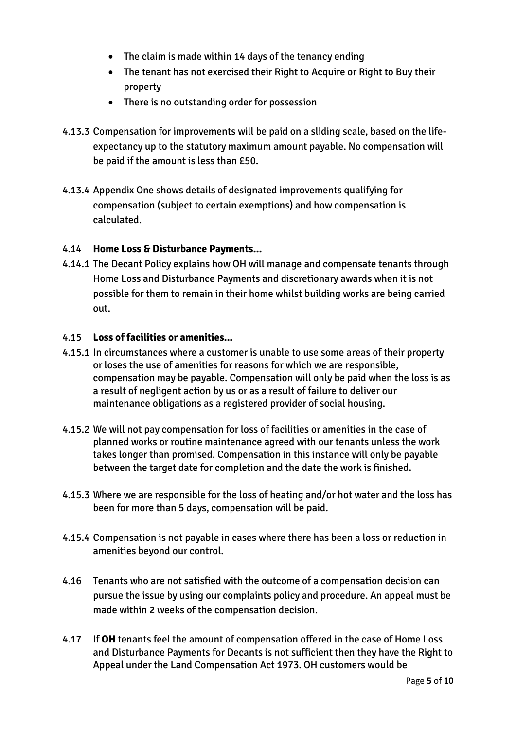- The claim is made within 14 days of the tenancy ending
- The tenant has not exercised their Right to Acquire or Right to Buy their property
- There is no outstanding order for possession
- 4.13.3 Compensation for improvements will be paid on a sliding scale, based on the lifeexpectancy up to the statutory maximum amount payable. No compensation will be paid if the amount is less than £50.
- 4.13.4 Appendix One shows details of designated improvements qualifying for compensation (subject to certain exemptions) and how compensation is calculated.

#### 4.14 **Home Loss & Disturbance Payments...**

4.14.1 The Decant Policy explains how OH will manage and compensate tenants through Home Loss and Disturbance Payments and discretionary awards when it is not possible for them to remain in their home whilst building works are being carried out.

#### 4.15 **Loss of facilities or amenities...**

- 4.15.1 In circumstances where a customer is unable to use some areas of their property or loses the use of amenities for reasons for which we are responsible, compensation may be payable. Compensation will only be paid when the loss is as a result of negligent action by us or as a result of failure to deliver our maintenance obligations as a registered provider of social housing.
- 4.15.2 We will not pay compensation for loss of facilities or amenities in the case of planned works or routine maintenance agreed with our tenants unless the work takes longer than promised. Compensation in this instance will only be payable between the target date for completion and the date the work is finished.
- 4.15.3 Where we are responsible for the loss of heating and/or hot water and the loss has been for more than 5 days, compensation will be paid.
- 4.15.4 Compensation is not payable in cases where there has been a loss or reduction in amenities beyond our control.
- 4.16 Tenants who are not satisfied with the outcome of a compensation decision can pursue the issue by using our complaints policy and procedure. An appeal must be made within 2 weeks of the compensation decision.
- 4.17 If **OH** tenants feel the amount of compensation offered in the case of Home Loss and Disturbance Payments for Decants is not sufficient then they have the Right to Appeal under the Land Compensation Act 1973. OH customers would be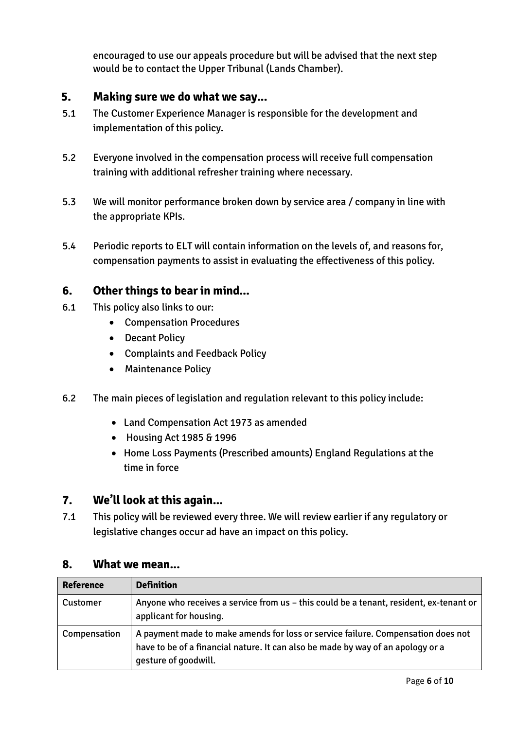encouraged to use our appeals procedure but will be advised that the next step would be to contact the Upper Tribunal (Lands Chamber).

#### **5. Making sure we do what we say...**

- 5.1 The Customer Experience Manager is responsible for the development and implementation of this policy.
- 5.2 Everyone involved in the compensation process will receive full compensation training with additional refresher training where necessary.
- 5.3 We will monitor performance broken down by service area / company in line with the appropriate KPIs.
- 5.4 Periodic reports to ELT will contain information on the levels of, and reasons for, compensation payments to assist in evaluating the effectiveness of this policy.

#### **6. Other things to bear in mind...**

- 6.1 This policy also links to our:
	- Compensation Procedures
	- Decant Policy
	- Complaints and Feedback Policy
	- Maintenance Policy
- 6.2 The main pieces of legislation and regulation relevant to this policy include:
	- Land Compensation Act 1973 as amended
	- Housing Act 1985 & 1996
	- Home Loss Payments (Prescribed amounts) England Regulations at the time in force

#### **7. We'll look at this again...**

7.1 This policy will be reviewed every three. We will review earlier if any regulatory or legislative changes occur ad have an impact on this policy.

#### **8. What we mean...**

| <b>Reference</b> | <b>Definition</b>                                                                                                                                                                           |
|------------------|---------------------------------------------------------------------------------------------------------------------------------------------------------------------------------------------|
| Customer         | Anyone who receives a service from us - this could be a tenant, resident, ex-tenant or<br>applicant for housing.                                                                            |
| Compensation     | A payment made to make amends for loss or service failure. Compensation does not<br>have to be of a financial nature. It can also be made by way of an apology or a<br>gesture of goodwill. |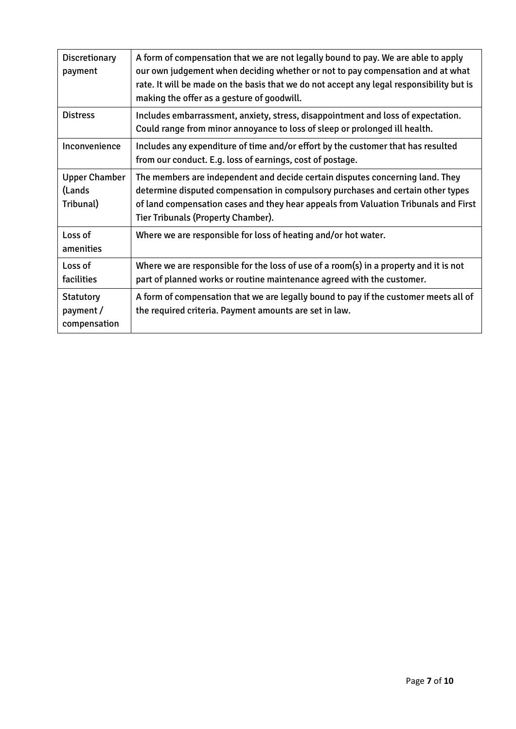| <b>Discretionary</b><br>payment               | A form of compensation that we are not legally bound to pay. We are able to apply<br>our own judgement when deciding whether or not to pay compensation and at what<br>rate. It will be made on the basis that we do not accept any legal responsibility but is<br>making the offer as a gesture of goodwill. |
|-----------------------------------------------|---------------------------------------------------------------------------------------------------------------------------------------------------------------------------------------------------------------------------------------------------------------------------------------------------------------|
| <b>Distress</b>                               | Includes embarrassment, anxiety, stress, disappointment and loss of expectation.<br>Could range from minor annoyance to loss of sleep or prolonged ill health.                                                                                                                                                |
| Inconvenience                                 | Includes any expenditure of time and/or effort by the customer that has resulted<br>from our conduct. E.g. loss of earnings, cost of postage.                                                                                                                                                                 |
| <b>Upper Chamber</b><br>(Lands<br>Tribunal)   | The members are independent and decide certain disputes concerning land. They<br>determine disputed compensation in compulsory purchases and certain other types<br>of land compensation cases and they hear appeals from Valuation Tribunals and First<br><b>Tier Tribunals (Property Chamber).</b>          |
| Loss of<br>amenities                          | Where we are responsible for loss of heating and/or hot water.                                                                                                                                                                                                                                                |
| Loss of<br>facilities                         | Where we are responsible for the loss of use of a room(s) in a property and it is not<br>part of planned works or routine maintenance agreed with the customer.                                                                                                                                               |
| <b>Statutory</b><br>payment /<br>compensation | A form of compensation that we are legally bound to pay if the customer meets all of<br>the required criteria. Payment amounts are set in law.                                                                                                                                                                |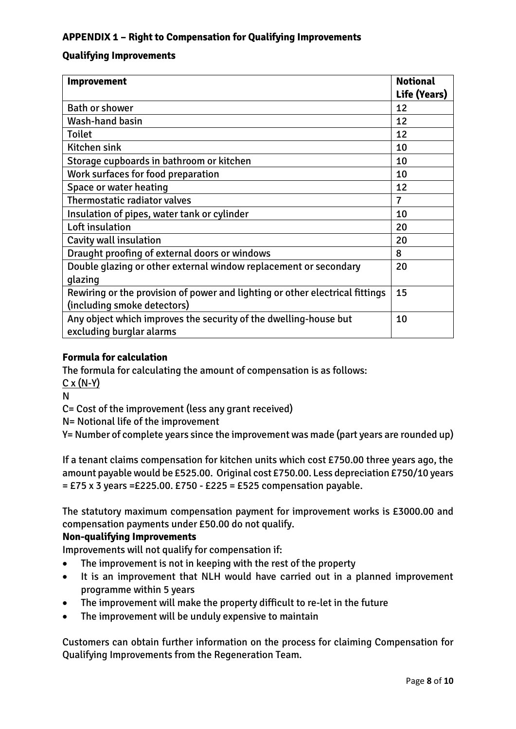#### **APPENDIX 1 – Right to Compensation for Qualifying Improvements**

#### **Qualifying Improvements**

| <b>Improvement</b>                                                                                          | <b>Notional</b><br>Life (Years) |
|-------------------------------------------------------------------------------------------------------------|---------------------------------|
| <b>Bath or shower</b>                                                                                       | 12                              |
| Wash-hand basin                                                                                             | 12                              |
| <b>Toilet</b>                                                                                               | 12                              |
| Kitchen sink                                                                                                | 10                              |
| Storage cupboards in bathroom or kitchen                                                                    | 10                              |
| Work surfaces for food preparation                                                                          | 10                              |
| Space or water heating                                                                                      | 12                              |
| Thermostatic radiator valves                                                                                | $\overline{7}$                  |
| Insulation of pipes, water tank or cylinder                                                                 | 10                              |
| Loft insulation                                                                                             | 20                              |
| Cavity wall insulation                                                                                      | 20                              |
| Draught proofing of external doors or windows                                                               | 8                               |
| Double glazing or other external window replacement or secondary                                            | 20                              |
| glazing                                                                                                     |                                 |
| Rewiring or the provision of power and lighting or other electrical fittings<br>(including smoke detectors) | 15                              |
| Any object which improves the security of the dwelling-house but<br>excluding burglar alarms                | 10                              |

#### **Formula for calculation**

The formula for calculating the amount of compensation is as follows:

 $C \times (N-Y)$ 

N

C= Cost of the improvement (less any grant received)

N= Notional life of the improvement

Y= Number of complete years since the improvement was made (part years are rounded up)

If a tenant claims compensation for kitchen units which cost £750.00 three years ago, the amount payable would be £525.00. Original cost £750.00. Less depreciation £750/10 years  $=$  £75 x 3 years = £225.00. £750 - £225 = £525 compensation payable.

The statutory maximum compensation payment for improvement works is £3000.00 and compensation payments under £50.00 do not qualify.

#### **Non-qualifying Improvements**

Improvements will not qualify for compensation if:

- The improvement is not in keeping with the rest of the property
- It is an improvement that NLH would have carried out in a planned improvement programme within 5 years
- The improvement will make the property difficult to re-let in the future
- The improvement will be unduly expensive to maintain

Customers can obtain further information on the process for claiming Compensation for Qualifying Improvements from the Regeneration Team.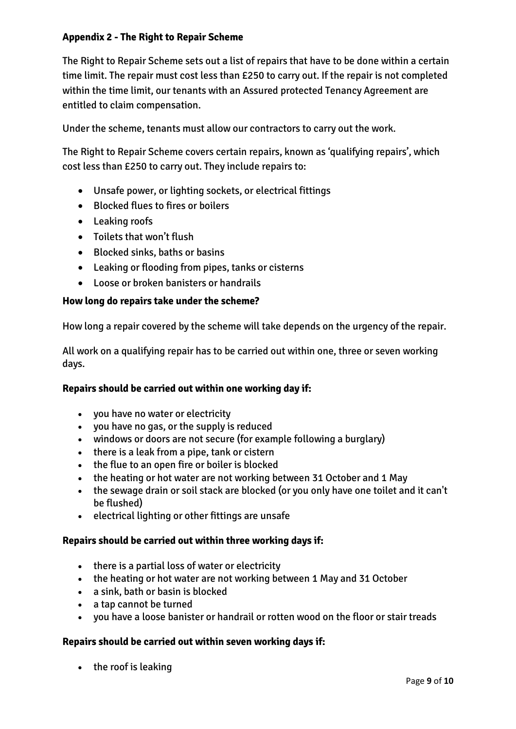#### **Appendix 2 - The Right to Repair Scheme**

The Right to Repair Scheme sets out a list of repairs that have to be done within a certain time limit. The repair must cost less than £250 to carry out. If the repair is not completed within the time limit, our tenants with an Assured protected Tenancy Agreement are entitled to claim compensation.

Under the scheme, tenants must allow our contractors to carry out the work.

The Right to Repair Scheme covers certain repairs, known as 'qualifying repairs', which cost less than £250 to carry out. They include repairs to:

- Unsafe power, or lighting sockets, or electrical fittings
- Blocked flues to fires or boilers
- Leaking roofs
- Toilets that won't flush
- Blocked sinks, baths or basins
- Leaking or flooding from pipes, tanks or cisterns
- Loose or broken banisters or handrails

#### **How long do repairs take under the scheme?**

How long a repair covered by the scheme will take depends on the urgency of the repair.

All work on a qualifying repair has to be carried out within one, three or seven working days.

#### **Repairs should be carried out within one working day if:**

- you have no water or electricity
- you have no gas, or the supply is reduced
- windows or doors are not secure (for example following a burglary)
- $\bullet$  there is a leak from a pipe, tank or cistern
- the flue to an open fire or boiler is blocked
- the heating or hot water are not working between 31 October and 1 May
- the sewage drain or soil stack are blocked (or you only have one toilet and it can't be flushed)
- electrical lighting or other fittings are unsafe

#### **Repairs should be carried out within three working days if:**

- there is a partial loss of water or electricity
- the heating or hot water are not working between 1 May and 31 October
- a sink, bath or basin is blocked
- a tap cannot be turned
- you have a loose banister or handrail or rotten wood on the floor or stair treads

#### **Repairs should be carried out within seven working days if:**

• the roof is leaking